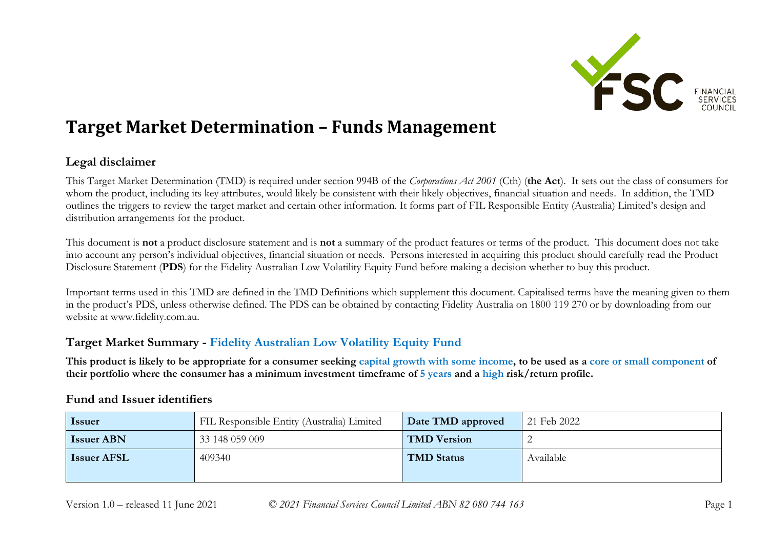

# **Target Market Determination – Funds Management**

## **Legal disclaimer**

This Target Market Determination (TMD) is required under section 994B of the *Corporations Act 2001* (Cth) (**the Act**). It sets out the class of consumers for whom the product, including its key attributes, would likely be consistent with their likely objectives, financial situation and needs. In addition, the TMD outlines the triggers to review the target market and certain other information. It forms part of FIL Responsible Entity (Australia) Limited's design and distribution arrangements for the product.

This document is **not** a product disclosure statement and is **not** a summary of the product features or terms of the product. This document does not take into account any person's individual objectives, financial situation or needs. Persons interested in acquiring this product should carefully read the Product Disclosure Statement (**PDS**) for the Fidelity Australian Low Volatility Equity Fund before making a decision whether to buy this product.

Important terms used in this TMD are defined in the TMD Definitions which supplement this document. Capitalised terms have the meaning given to them in the product's PDS, unless otherwise defined. The PDS can be obtained by contacting Fidelity Australia on 1800 119 270 or by downloading from our website at www.fidelity.com.au.

## **Target Market Summary - Fidelity Australian Low Volatility Equity Fund**

**This product is likely to be appropriate for a consumer seeking capital growth with some income, to be used as a core or small component of their portfolio where the consumer has a minimum investment timeframe of 5 years and a high risk/return profile.**

| <i><u><b>Issuer</b></u></i> | FIL Responsible Entity (Australia) Limited | Date TMD approved  | 21 Feb 2022 |
|-----------------------------|--------------------------------------------|--------------------|-------------|
| <b>Issuer ABN</b>           | 33 148 059 009                             | <b>TMD Version</b> |             |
| <b>Issuer AFSL</b>          | 409340                                     | <b>TMD Status</b>  | Available   |

## **Fund and Issuer identifiers**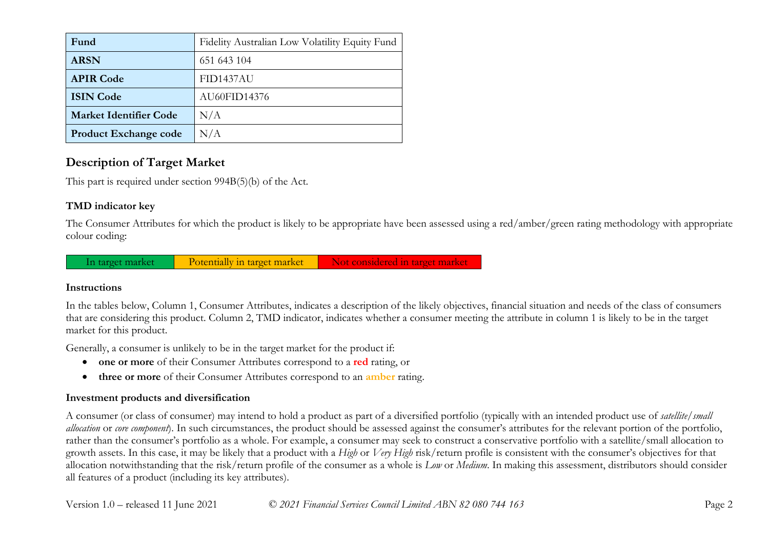| Fund                          | Fidelity Australian Low Volatility Equity Fund |
|-------------------------------|------------------------------------------------|
| <b>ARSN</b>                   | 651 643 104                                    |
| <b>APIR Code</b>              | <b>FID1437AU</b>                               |
| <b>ISIN Code</b>              | AU60FID14376                                   |
| <b>Market Identifier Code</b> | N/A                                            |
| <b>Product Exchange code</b>  | N/A                                            |

# **Description of Target Market**

This part is required under section 994B(5)(b) of the Act.

## **TMD indicator key**

The Consumer Attributes for which the product is likely to be appropriate have been assessed using a red/amber/green rating methodology with appropriate colour coding:



#### **Instructions**

In the tables below, Column 1, Consumer Attributes, indicates a description of the likely objectives, financial situation and needs of the class of consumers that are considering this product. Column 2, TMD indicator, indicates whether a consumer meeting the attribute in column 1 is likely to be in the target market for this product.

Generally, a consumer is unlikely to be in the target market for the product if:

- **one or more** of their Consumer Attributes correspond to a **red** rating, or
- **three or more** of their Consumer Attributes correspond to an **amber** rating.

### **Investment products and diversification**

A consumer (or class of consumer) may intend to hold a product as part of a diversified portfolio (typically with an intended product use of *satellite/small allocation* or *core component*). In such circumstances, the product should be assessed against the consumer's attributes for the relevant portion of the portfolio, rather than the consumer's portfolio as a whole. For example, a consumer may seek to construct a conservative portfolio with a satellite/small allocation to growth assets. In this case, it may be likely that a product with a *High* or *Very High* risk/return profile is consistent with the consumer's objectives for that allocation notwithstanding that the risk/return profile of the consumer as a whole is *Low* or *Medium*. In making this assessment, distributors should consider all features of a product (including its key attributes).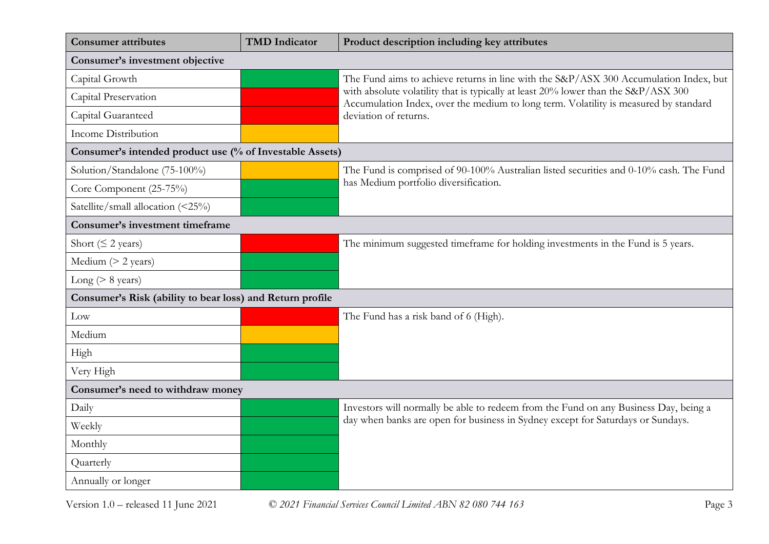| <b>Consumer attributes</b>                                | <b>TMD</b> Indicator | Product description including key attributes                                                                                                                               |  |
|-----------------------------------------------------------|----------------------|----------------------------------------------------------------------------------------------------------------------------------------------------------------------------|--|
| Consumer's investment objective                           |                      |                                                                                                                                                                            |  |
| Capital Growth                                            |                      | The Fund aims to achieve returns in line with the S&P/ASX 300 Accumulation Index, but                                                                                      |  |
| Capital Preservation                                      |                      | with absolute volatility that is typically at least 20% lower than the S&P/ASX 300<br>Accumulation Index, over the medium to long term. Volatility is measured by standard |  |
| Capital Guaranteed                                        |                      | deviation of returns.                                                                                                                                                      |  |
| <b>Income Distribution</b>                                |                      |                                                                                                                                                                            |  |
| Consumer's intended product use (% of Investable Assets)  |                      |                                                                                                                                                                            |  |
| Solution/Standalone (75-100%)                             |                      | The Fund is comprised of 90-100% Australian listed securities and 0-10% cash. The Fund                                                                                     |  |
| Core Component (25-75%)                                   |                      | has Medium portfolio diversification.                                                                                                                                      |  |
| Satellite/small allocation (<25%)                         |                      |                                                                                                                                                                            |  |
| Consumer's investment timeframe                           |                      |                                                                                                                                                                            |  |
| Short ( $\leq$ 2 years)                                   |                      | The minimum suggested timeframe for holding investments in the Fund is 5 years.                                                                                            |  |
| Medium $(> 2$ years)                                      |                      |                                                                                                                                                                            |  |
| Long ( $> 8$ years)                                       |                      |                                                                                                                                                                            |  |
| Consumer's Risk (ability to bear loss) and Return profile |                      |                                                                                                                                                                            |  |
| Low                                                       |                      | The Fund has a risk band of 6 (High).                                                                                                                                      |  |
| Medium                                                    |                      |                                                                                                                                                                            |  |
| High                                                      |                      |                                                                                                                                                                            |  |
| Very High                                                 |                      |                                                                                                                                                                            |  |
| Consumer's need to withdraw money                         |                      |                                                                                                                                                                            |  |
| Daily                                                     |                      | Investors will normally be able to redeem from the Fund on any Business Day, being a                                                                                       |  |
| Weekly                                                    |                      | day when banks are open for business in Sydney except for Saturdays or Sundays.                                                                                            |  |
| Monthly                                                   |                      |                                                                                                                                                                            |  |
| Quarterly                                                 |                      |                                                                                                                                                                            |  |
| Annually or longer                                        |                      |                                                                                                                                                                            |  |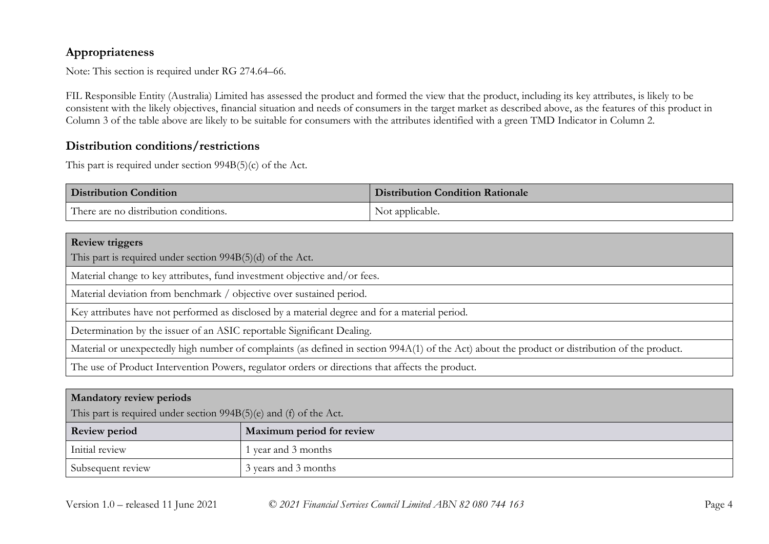## **Appropriateness**

Note: This section is required under RG 274.64–66.

FIL Responsible Entity (Australia) Limited has assessed the product and formed the view that the product, including its key attributes, is likely to be consistent with the likely objectives, financial situation and needs of consumers in the target market as described above, as the features of this product in Column 3 of the table above are likely to be suitable for consumers with the attributes identified with a green TMD Indicator in Column 2.

## **Distribution conditions/restrictions**

This part is required under section 994B(5)(c) of the Act.

| <b>Distribution Condition</b>         | <b>Distribution Condition Rationale</b> |
|---------------------------------------|-----------------------------------------|
| There are no distribution conditions. | Not applicable.                         |

| <b>Review triggers</b>                                                                                                                          |  |
|-------------------------------------------------------------------------------------------------------------------------------------------------|--|
| This part is required under section $994B(5)(d)$ of the Act.                                                                                    |  |
| Material change to key attributes, fund investment objective and/or fees.                                                                       |  |
| Material deviation from benchmark / objective over sustained period.                                                                            |  |
| Key attributes have not performed as disclosed by a material degree and for a material period.                                                  |  |
| Determination by the issuer of an ASIC reportable Significant Dealing.                                                                          |  |
| Material or unexpectedly high number of complaints (as defined in section 994A(1) of the Act) about the product or distribution of the product. |  |
| The use of Product Intervention Powers, regulator orders or directions that affects the product.                                                |  |

| <b>Mandatory review periods</b><br>This part is required under section 994B(5)(e) and (f) of the Act. |                           |  |
|-------------------------------------------------------------------------------------------------------|---------------------------|--|
| <b>Review period</b>                                                                                  | Maximum period for review |  |
| Initial review                                                                                        | year and 3 months         |  |
| Subsequent review                                                                                     | 3 years and 3 months      |  |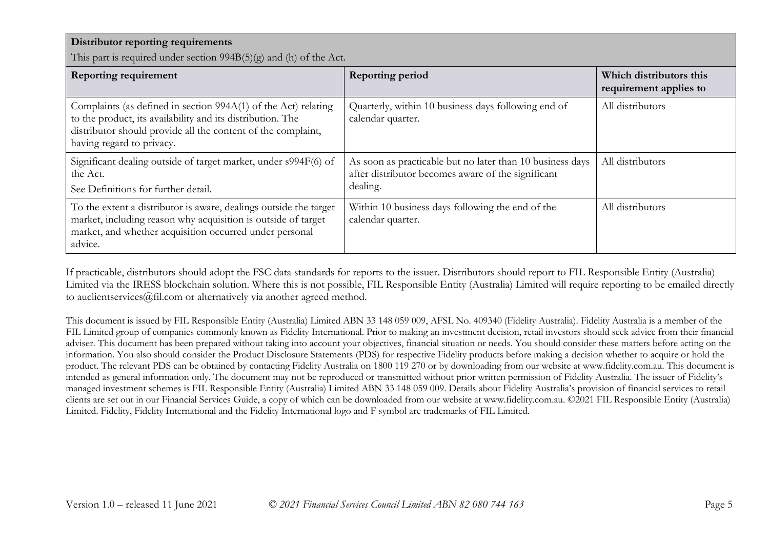| Distributor reporting requirements                                                                                                                                                                                        |                                                                                                                             |                        |
|---------------------------------------------------------------------------------------------------------------------------------------------------------------------------------------------------------------------------|-----------------------------------------------------------------------------------------------------------------------------|------------------------|
| This part is required under section $994B(5)(g)$ and (h) of the Act.<br>Which distributors this<br><b>Reporting requirement</b><br><b>Reporting period</b>                                                                |                                                                                                                             |                        |
|                                                                                                                                                                                                                           |                                                                                                                             | requirement applies to |
| Complaints (as defined in section 994A(1) of the Act) relating<br>to the product, its availability and its distribution. The<br>distributor should provide all the content of the complaint,<br>having regard to privacy. | Quarterly, within 10 business days following end of<br>calendar quarter.                                                    | All distributors       |
| Significant dealing outside of target market, under s994F(6) of<br>the Act.<br>See Definitions for further detail.                                                                                                        | As soon as practicable but no later than 10 business days<br>after distributor becomes aware of the significant<br>dealing. | All distributors       |
| To the extent a distributor is aware, dealings outside the target<br>market, including reason why acquisition is outside of target<br>market, and whether acquisition occurred under personal<br>advice.                  | Within 10 business days following the end of the<br>calendar quarter.                                                       | All distributors       |

If practicable, distributors should adopt the FSC data standards for reports to the issuer. Distributors should report to FIL Responsible Entity (Australia) Limited via the IRESS blockchain solution. Where this is not possible, FIL Responsible Entity (Australia) Limited will require reporting to be emailed directly to auclientservices@fil.com or alternatively via another agreed method.

This document is issued by FIL Responsible Entity (Australia) Limited ABN 33 148 059 009, AFSL No. 409340 (Fidelity Australia). Fidelity Australia is a member of the FIL Limited group of companies commonly known as Fidelity International. Prior to making an investment decision, retail investors should seek advice from their financial adviser. This document has been prepared without taking into account your objectives, financial situation or needs. You should consider these matters before acting on the information. You also should consider the Product Disclosure Statements (PDS) for respective Fidelity products before making a decision whether to acquire or hold the product. The relevant PDS can be obtained by contacting Fidelity Australia on 1800 119 270 or by downloading from our website at www.fidelity.com.au. This document is intended as general information only. The document may not be reproduced or transmitted without prior written permission of Fidelity Australia. The issuer of Fidelity's managed investment schemes is FIL Responsible Entity (Australia) Limited ABN 33 148 059 009. Details about Fidelity Australia's provision of financial services to retail clients are set out in our Financial Services Guide, a copy of which can be downloaded from our website at www.fidelity.com.au. ©2021 FIL Responsible Entity (Australia) Limited. Fidelity, Fidelity International and the Fidelity International logo and F symbol are trademarks of FIL Limited.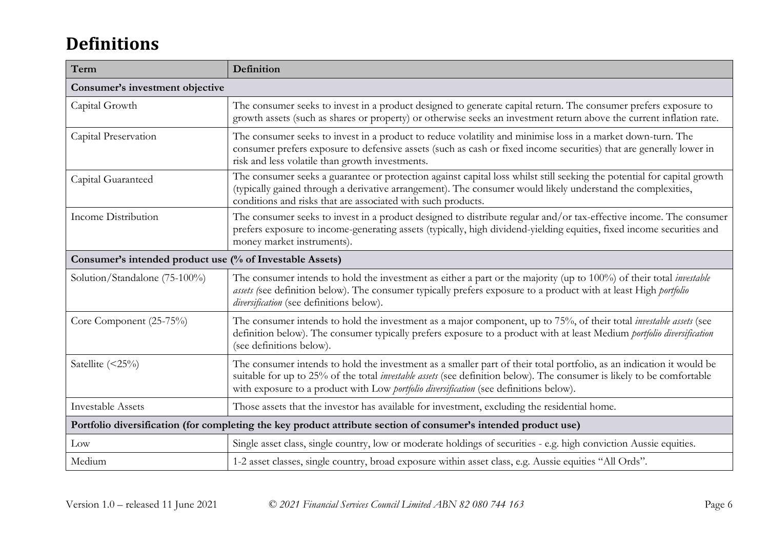# **Definitions**

| Term                                                                                                            | Definition                                                                                                                                                                                                                                                                                                                                      |  |
|-----------------------------------------------------------------------------------------------------------------|-------------------------------------------------------------------------------------------------------------------------------------------------------------------------------------------------------------------------------------------------------------------------------------------------------------------------------------------------|--|
| Consumer's investment objective                                                                                 |                                                                                                                                                                                                                                                                                                                                                 |  |
| Capital Growth                                                                                                  | The consumer seeks to invest in a product designed to generate capital return. The consumer prefers exposure to<br>growth assets (such as shares or property) or otherwise seeks an investment return above the current inflation rate.                                                                                                         |  |
| Capital Preservation                                                                                            | The consumer seeks to invest in a product to reduce volatility and minimise loss in a market down-turn. The<br>consumer prefers exposure to defensive assets (such as cash or fixed income securities) that are generally lower in<br>risk and less volatile than growth investments.                                                           |  |
| Capital Guaranteed                                                                                              | The consumer seeks a guarantee or protection against capital loss whilst still seeking the potential for capital growth<br>(typically gained through a derivative arrangement). The consumer would likely understand the complexities,<br>conditions and risks that are associated with such products.                                          |  |
| Income Distribution                                                                                             | The consumer seeks to invest in a product designed to distribute regular and/or tax-effective income. The consumer<br>prefers exposure to income-generating assets (typically, high dividend-yielding equities, fixed income securities and<br>money market instruments).                                                                       |  |
| Consumer's intended product use (% of Investable Assets)                                                        |                                                                                                                                                                                                                                                                                                                                                 |  |
| Solution/Standalone (75-100%)                                                                                   | The consumer intends to hold the investment as either a part or the majority (up to 100%) of their total <i>investable</i><br>assets (see definition below). The consumer typically prefers exposure to a product with at least High portfolio<br>diversification (see definitions below).                                                      |  |
| Core Component (25-75%)                                                                                         | The consumer intends to hold the investment as a major component, up to 75%, of their total <i>investable assets</i> (see<br>definition below). The consumer typically prefers exposure to a product with at least Medium portfolio diversification<br>(see definitions below).                                                                 |  |
| Satellite $(\leq 25\%)$                                                                                         | The consumer intends to hold the investment as a smaller part of their total portfolio, as an indication it would be<br>suitable for up to 25% of the total <i>investable assets</i> (see definition below). The consumer is likely to be comfortable<br>with exposure to a product with Low portfolio diversification (see definitions below). |  |
| <b>Investable Assets</b>                                                                                        | Those assets that the investor has available for investment, excluding the residential home.                                                                                                                                                                                                                                                    |  |
| Portfolio diversification (for completing the key product attribute section of consumer's intended product use) |                                                                                                                                                                                                                                                                                                                                                 |  |
| Low                                                                                                             | Single asset class, single country, low or moderate holdings of securities - e.g. high conviction Aussie equities.                                                                                                                                                                                                                              |  |
| Medium                                                                                                          | 1-2 asset classes, single country, broad exposure within asset class, e.g. Aussie equities "All Ords".                                                                                                                                                                                                                                          |  |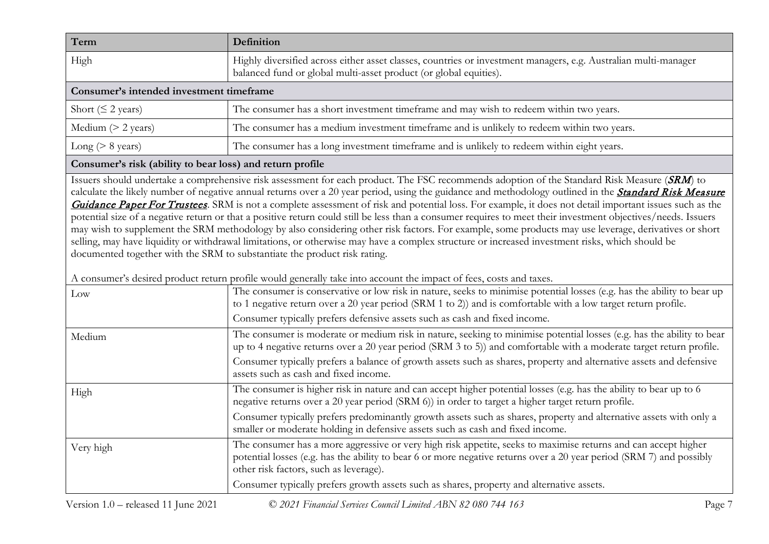| Term                                     | Definition                                                                                                                                                                           |  |
|------------------------------------------|--------------------------------------------------------------------------------------------------------------------------------------------------------------------------------------|--|
| High                                     | Highly diversified across either asset classes, countries or investment managers, e.g. Australian multi-manager<br>balanced fund or global multi-asset product (or global equities). |  |
| Consumer's intended investment timeframe |                                                                                                                                                                                      |  |
| Short ( $\leq$ 2 years)                  | The consumer has a short investment timeframe and may wish to redeem within two years.                                                                                               |  |
| Medium $(> 2$ years)                     | The consumer has a medium investment timeframe and is unlikely to redeem within two years.                                                                                           |  |
| Long ( $> 8$ years)                      | The consumer has a long investment timeframe and is unlikely to redeem within eight years.                                                                                           |  |

#### **Consumer's risk (ability to bear loss) and return profile**

Issuers should undertake a comprehensive risk assessment for each product. The FSC recommends adoption of the Standard Risk Measure (SRM) to calculate the likely number of negative annual returns over a 20 year period, using the guidance and methodology outlined in the *Standard Risk Measure* [Guidance Paper For Trustees](https://protect-eu.mimecast.com/s/pqPaCwVNmtGRQpvMFVpVgu?domain=urldefense.com). SRM is not a complete assessment of risk and potential loss. For example, it does not detail important issues such as the potential size of a negative return or that a positive return could still be less than a consumer requires to meet their investment objectives/needs. Issuers may wish to supplement the SRM methodology by also considering other risk factors. For example, some products may use leverage, derivatives or short selling, may have liquidity or withdrawal limitations, or otherwise may have a complex structure or increased investment risks, which should be documented together with the SRM to substantiate the product risk rating.

A consumer's desired product return profile would generally take into account the impact of fees, costs and taxes.

| prome would generally take med account the impact of feet, costs and takes.                                                                                                                                                                                                      |
|----------------------------------------------------------------------------------------------------------------------------------------------------------------------------------------------------------------------------------------------------------------------------------|
| The consumer is conservative or low risk in nature, seeks to minimise potential losses (e.g. has the ability to bear up<br>to 1 negative return over a 20 year period (SRM 1 to 2)) and is comfortable with a low target return profile.                                         |
| Consumer typically prefers defensive assets such as cash and fixed income.                                                                                                                                                                                                       |
| The consumer is moderate or medium risk in nature, seeking to minimise potential losses (e.g. has the ability to bear<br>up to 4 negative returns over a 20 year period (SRM 3 to 5)) and comfortable with a moderate target return profile.                                     |
| Consumer typically prefers a balance of growth assets such as shares, property and alternative assets and defensive<br>assets such as cash and fixed income.                                                                                                                     |
| The consumer is higher risk in nature and can accept higher potential losses (e.g. has the ability to bear up to 6<br>negative returns over a 20 year period (SRM 6)) in order to target a higher target return profile.                                                         |
| Consumer typically prefers predominantly growth assets such as shares, property and alternative assets with only a<br>smaller or moderate holding in defensive assets such as cash and fixed income.                                                                             |
| The consumer has a more aggressive or very high risk appetite, seeks to maximise returns and can accept higher<br>potential losses (e.g. has the ability to bear 6 or more negative returns over a 20 year period (SRM 7) and possibly<br>other risk factors, such as leverage). |
| Consumer typically prefers growth assets such as shares, property and alternative assets.                                                                                                                                                                                        |
|                                                                                                                                                                                                                                                                                  |